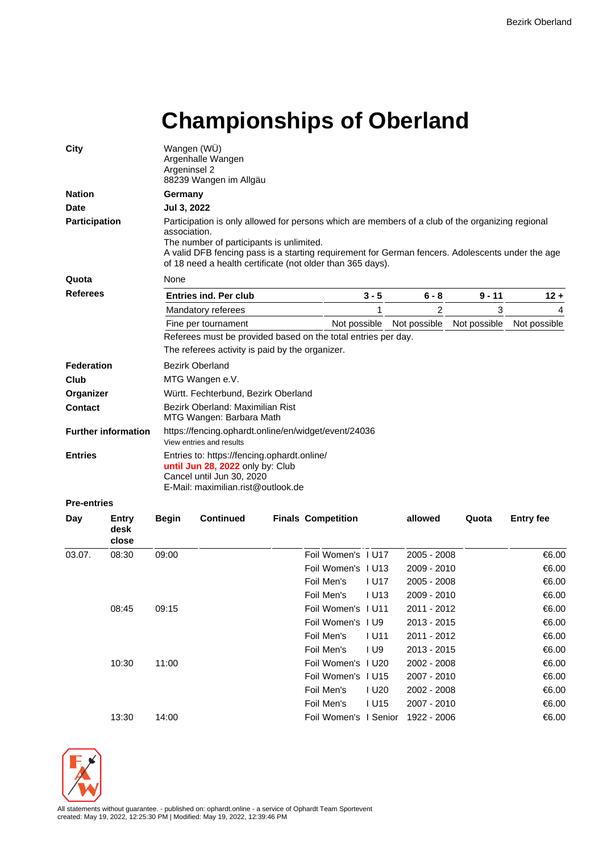## **Championships of Oberland**

| City               |                            | Argeninsel 2                                                                                                                                       | Wangen (WÜ)<br>Argenhalle Wangen<br>88239 Wangen im Allgäu                                                                                                                                                                                                                                                                     |  |                           |                   |              |              |                  |  |  |  |  |  |
|--------------------|----------------------------|----------------------------------------------------------------------------------------------------------------------------------------------------|--------------------------------------------------------------------------------------------------------------------------------------------------------------------------------------------------------------------------------------------------------------------------------------------------------------------------------|--|---------------------------|-------------------|--------------|--------------|------------------|--|--|--|--|--|
| <b>Nation</b>      |                            |                                                                                                                                                    | Germany                                                                                                                                                                                                                                                                                                                        |  |                           |                   |              |              |                  |  |  |  |  |  |
| <b>Date</b>        |                            |                                                                                                                                                    | Jul 3, 2022                                                                                                                                                                                                                                                                                                                    |  |                           |                   |              |              |                  |  |  |  |  |  |
| Participation      |                            |                                                                                                                                                    | Participation is only allowed for persons which are members of a club of the organizing regional<br>association.<br>The number of participants is unlimited.<br>A valid DFB fencing pass is a starting requirement for German fencers. Adolescents under the age<br>of 18 need a health certificate (not older than 365 days). |  |                           |                   |              |              |                  |  |  |  |  |  |
| Quota              |                            | None                                                                                                                                               |                                                                                                                                                                                                                                                                                                                                |  |                           |                   |              |              |                  |  |  |  |  |  |
|                    | Referees                   |                                                                                                                                                    | <b>Entries ind. Per club</b>                                                                                                                                                                                                                                                                                                   |  |                           | $3 - 5$           | $6 - 8$      | $9 - 11$     | $12 +$           |  |  |  |  |  |
|                    |                            |                                                                                                                                                    | Mandatory referees                                                                                                                                                                                                                                                                                                             |  |                           | 1                 | 2            | 3            | 4                |  |  |  |  |  |
|                    |                            |                                                                                                                                                    | Fine per tournament                                                                                                                                                                                                                                                                                                            |  | Not possible              |                   | Not possible | Not possible | Not possible     |  |  |  |  |  |
|                    |                            |                                                                                                                                                    | Referees must be provided based on the total entries per day.<br>The referees activity is paid by the organizer.                                                                                                                                                                                                               |  |                           |                   |              |              |                  |  |  |  |  |  |
| Federation         |                            |                                                                                                                                                    | <b>Bezirk Oberland</b>                                                                                                                                                                                                                                                                                                         |  |                           |                   |              |              |                  |  |  |  |  |  |
| Club               |                            |                                                                                                                                                    | MTG Wangen e.V.                                                                                                                                                                                                                                                                                                                |  |                           |                   |              |              |                  |  |  |  |  |  |
| Organizer          |                            | Württ. Fechterbund, Bezirk Oberland                                                                                                                |                                                                                                                                                                                                                                                                                                                                |  |                           |                   |              |              |                  |  |  |  |  |  |
| <b>Contact</b>     |                            |                                                                                                                                                    | Bezirk Oberland: Maximilian Rist<br>MTG Wangen: Barbara Math                                                                                                                                                                                                                                                                   |  |                           |                   |              |              |                  |  |  |  |  |  |
|                    | <b>Further information</b> |                                                                                                                                                    | https://fencing.ophardt.online/en/widget/event/24036<br>View entries and results                                                                                                                                                                                                                                               |  |                           |                   |              |              |                  |  |  |  |  |  |
| <b>Entries</b>     |                            | Entries to: https://fencing.ophardt.online/<br>until Jun 28, 2022 only by: Club<br>Cancel until Jun 30, 2020<br>E-Mail: maximilian.rist@outlook.de |                                                                                                                                                                                                                                                                                                                                |  |                           |                   |              |              |                  |  |  |  |  |  |
| <b>Pre-entries</b> |                            |                                                                                                                                                    |                                                                                                                                                                                                                                                                                                                                |  |                           |                   |              |              |                  |  |  |  |  |  |
| Day                | Entry<br>desk<br>close     | <b>Begin</b>                                                                                                                                       | <b>Continued</b>                                                                                                                                                                                                                                                                                                               |  | <b>Finals Competition</b> |                   | allowed      | Quota        | <b>Entry fee</b> |  |  |  |  |  |
| 03.07.             | 08:30                      | 09:00                                                                                                                                              |                                                                                                                                                                                                                                                                                                                                |  | Foil Women's 1 U17        |                   | 2005 - 2008  |              | €6.00            |  |  |  |  |  |
|                    |                            |                                                                                                                                                    |                                                                                                                                                                                                                                                                                                                                |  | Foil Women's I U13        |                   | 2009 - 2010  |              | €6.00            |  |  |  |  |  |
|                    |                            |                                                                                                                                                    |                                                                                                                                                                                                                                                                                                                                |  | Foil Men's                | I U17             | 2005 - 2008  |              | €6.00            |  |  |  |  |  |
|                    |                            |                                                                                                                                                    |                                                                                                                                                                                                                                                                                                                                |  | Foil Men's                | <b>IU13</b>       | 2009 - 2010  |              | €6.00            |  |  |  |  |  |
|                    | 08:45                      | 09:15                                                                                                                                              |                                                                                                                                                                                                                                                                                                                                |  | Foil Women's I U11        |                   | 2011 - 2012  |              | €6.00            |  |  |  |  |  |
|                    |                            |                                                                                                                                                    |                                                                                                                                                                                                                                                                                                                                |  | Foil Women's 1 U9         |                   | 2013 - 2015  |              | €6.00            |  |  |  |  |  |
|                    |                            |                                                                                                                                                    |                                                                                                                                                                                                                                                                                                                                |  | Foil Men's                | <b>IU11</b>       | 2011 - 2012  |              | €6.00            |  |  |  |  |  |
|                    |                            |                                                                                                                                                    |                                                                                                                                                                                                                                                                                                                                |  | Foil Men's                | 1 <sub>U</sub> 9  | 2013 - 2015  |              | €6.00            |  |  |  |  |  |
|                    | 10:30                      | 11:00                                                                                                                                              |                                                                                                                                                                                                                                                                                                                                |  | Foil Women's I U20        |                   | 2002 - 2008  |              | €6.00            |  |  |  |  |  |
|                    |                            |                                                                                                                                                    |                                                                                                                                                                                                                                                                                                                                |  | Foil Women's 1 U15        |                   | 2007 - 2010  |              | €6.00            |  |  |  |  |  |
|                    |                            |                                                                                                                                                    |                                                                                                                                                                                                                                                                                                                                |  | Foil Men's                | I U <sub>20</sub> | 2002 - 2008  |              | €6.00            |  |  |  |  |  |
|                    |                            |                                                                                                                                                    |                                                                                                                                                                                                                                                                                                                                |  | Foil Men's                | <b>IU15</b>       | 2007 - 2010  |              | €6.00            |  |  |  |  |  |
|                    | 13:30                      | 14:00                                                                                                                                              |                                                                                                                                                                                                                                                                                                                                |  | Foil Women's I Senior     |                   | 1922 - 2006  |              | €6.00            |  |  |  |  |  |